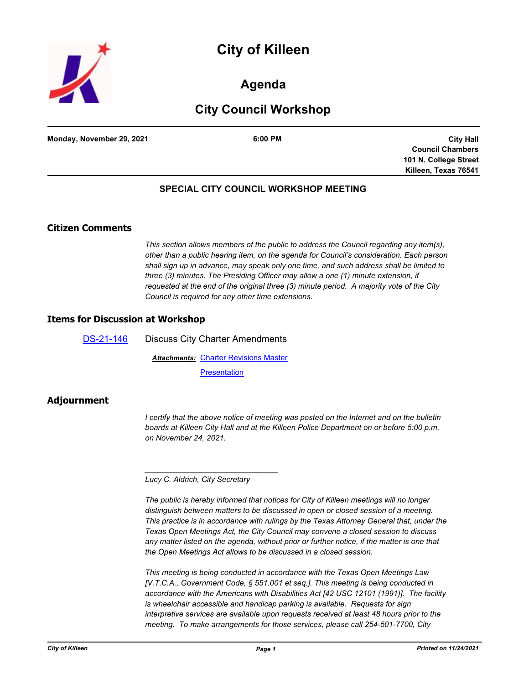



## **Agenda**

# **City Council Workshop**

**Monday, November 29, 2021 6:00 PM**

**City Hall Council Chambers 101 N. College Street Killeen, Texas 76541**

### **SPECIAL CITY COUNCIL WORKSHOP MEETING**

### **Citizen Comments**

*This section allows members of the public to address the Council regarding any item(s), other than a public hearing item, on the agenda for Council's consideration. Each person shall sign up in advance, may speak only one time, and such address shall be limited to three (3) minutes. The Presiding Officer may allow a one (1) minute extension, if requested at the end of the original three (3) minute period. A majority vote of the City Council is required for any other time extensions.*

#### **Items for Discussion at Workshop**

[DS-21-146](http://killeen.legistar.com/gateway.aspx?m=l&id=/matter.aspx?key=5819) Discuss City Charter Amendments **Attachments: [Charter Revisions Master](http://killeen.legistar.com/gateway.aspx?M=F&ID=fa096278-878c-4ea3-bf82-e4f5f45025fb.pdf) [Presentation](http://killeen.legistar.com/gateway.aspx?M=F&ID=19dbb69e-313e-491c-a788-20caa6b516b0.pdf)** 

## **Adjournment**

*I* certify that the above notice of meeting was posted on the Internet and on the bulletin *boards at Killeen City Hall and at the Killeen Police Department on or before 5:00 p.m. on November 24, 2021.*

*Lucy C. Aldrich, City Secretary* 

*\_\_\_\_\_\_\_\_\_\_\_\_\_\_\_\_\_\_\_\_\_\_\_\_\_\_\_\_\_\_\_*

*The public is hereby informed that notices for City of Killeen meetings will no longer distinguish between matters to be discussed in open or closed session of a meeting. This practice is in accordance with rulings by the Texas Attorney General that, under the Texas Open Meetings Act, the City Council may convene a closed session to discuss any matter listed on the agenda, without prior or further notice, if the matter is one that the Open Meetings Act allows to be discussed in a closed session.*

*This meeting is being conducted in accordance with the Texas Open Meetings Law [V.T.C.A., Government Code, § 551.001 et seq.]. This meeting is being conducted in accordance with the Americans with Disabilities Act [42 USC 12101 (1991)]. The facility is wheelchair accessible and handicap parking is available. Requests for sign interpretive services are available upon requests received at least 48 hours prior to the meeting. To make arrangements for those services, please call 254-501-7700, City*